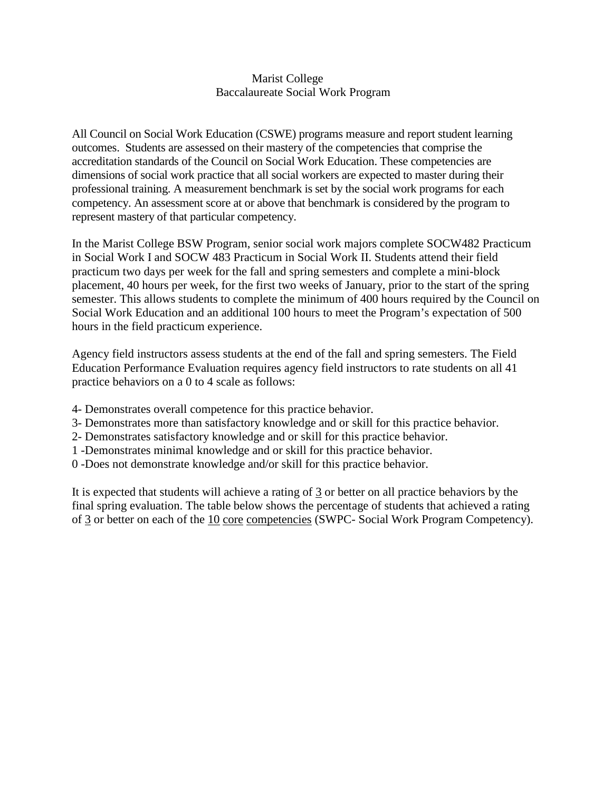## Marist College Baccalaureate Social Work Program

All Council on Social Work Education (CSWE) programs measure and report student learning outcomes. Students are assessed on their mastery of the competencies that comprise the accreditation standards of the Council on Social Work Education. These competencies are dimensions of social work practice that all social workers are expected to master during their professional training. A measurement benchmark is set by the social work programs for each competency. An assessment score at or above that benchmark is considered by the program to represent mastery of that particular competency.

In the Marist College BSW Program, senior social work majors complete SOCW482 Practicum in Social Work I and SOCW 483 Practicum in Social Work II. Students attend their field practicum two days per week for the fall and spring semesters and complete a mini-block placement, 40 hours per week, for the first two weeks of January, prior to the start of the spring semester. This allows students to complete the minimum of 400 hours required by the Council on Social Work Education and an additional 100 hours to meet the Program's expectation of 500 hours in the field practicum experience.

Agency field instructors assess students at the end of the fall and spring semesters. The Field Education Performance Evaluation requires agency field instructors to rate students on all 41 practice behaviors on a 0 to 4 scale as follows:

- 4- Demonstrates overall competence for this practice behavior.
- 3- Demonstrates more than satisfactory knowledge and or skill for this practice behavior.
- 2- Demonstrates satisfactory knowledge and or skill for this practice behavior.
- 1 -Demonstrates minimal knowledge and or skill for this practice behavior.
- 0 -Does not demonstrate knowledge and/or skill for this practice behavior.

It is expected that students will achieve a rating of 3 or better on all practice behaviors by the final spring evaluation. The table below shows the percentage of students that achieved a rating of 3 or better on each of the 10 core competencies (SWPC- Social Work Program Competency).